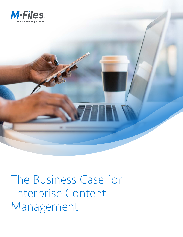

The Business Case for Enterprise Content Management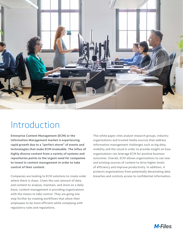

# Introduction

Enterprise Content Management (ECM) or the Information Management market is experiencing rapid growth due to a "perfect storm" of events and technologies that make ECM invaluable. The influx of highly diverse content from a variety of systems and repositories points to the urgent need for companies to invest in content management in order to take control of their content.

Companies are looking to ECM solutions to create order where there is chaos. Given the vast amount of data and content to analyze, maintain, and store on a daily basis, content management is providing organizations with the means to take control. They are going one step further by creating workflows that allow their employees to be more efficient while complying with regulatory rules and regulations.

This white paper cites analyst research groups, industry organizations and trusted media sources that address information management challenges such as big data, mobility and the cloud in order to provide insight on how organizations can leverage ECM for positive business outcomes. Overall, ECM allows organizations to use new and existing sources of content to drive higher levels of efficiency and improve productivity. In addition, it protects organizations from potentially devastating data breaches and controls access to confidential information.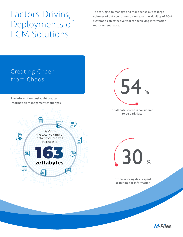# Factors Driving Deployments of ECM Solutions

The struggle to manage and make sense out of large volumes of data continues to increase the viability of ECM systems as an effective tool for achieving information management goals.



**M-Files**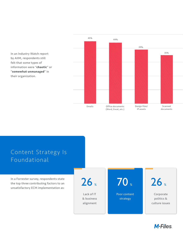In an Industry Watch report by AIIM, respondents still felt that some types of information were "**chaotic**" or "**somewhat unmanaged**" in their organization.





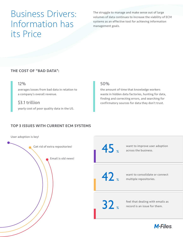# Business Drivers: Information has its Price

The struggle to manage and make sense out of large volumes of data continues to increase the viability of ECM systems as an effective tool for achieving information management goals.

### THE COST OF "BAD DATA":

### 12%

averages losses from bad data in relation to a company's overall revenue.

### \$3.1 trillion

yearly cost of poor quality data in the US.

### 50%

the amount of time that knowledge workers waste in hidden data factories, hunting for data, finding and correcting errors, and searching for confirmatory sources for data they don't trust.

## TOP 3 ISSUES WITH CURRENT ECM SYSTEMS

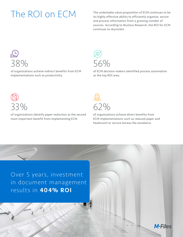The ROI on ECM The undeniable value proposition of ECM continues to be<br>its highly effective ability to efficiently organize, secure its highly effective ability to efficiently organize, secure and process information from a growing number of sources. According to Nucleus Research, the ROI for ECM continues to skyrocket.



of organizations achieve indirect benefits from ECM implementations such as productivity.



of ECM decision makers identified process automation as the top ROI area.



of organizations identify paper-reduction as the second most important benefit from implementing ECM.



of organizations achieve direct benefits from ECM implementations such as reduced paper and headcount or service bureau fee avoidance.

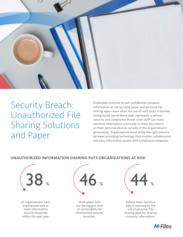

# Security Breach: Unauthorized File Sharing Solutions and Paper

Employees continue to put confidential company information at risk by using paper and personal file sharing apps—even when the use of such tools is banned. Unregulated use of these apps represents a serious security and compliance threat since staff can share sensitive information externally or store documents on their personal devices outside of the organization's governance. Organizations must strike the right balance between providing technology that enables collaboration and easy information access with compliance measures.

#### UNAUTHORIZED INFORMATION SHARING PUTS ORGANIZATIONS AT RISK



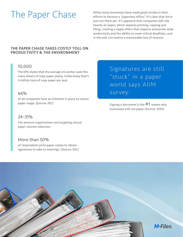The Paper Chase While many businesses have made great strides in their<br>efforts to become a "paperless office," it's clear that we efforts to become a "paperless office," it's clear that we're just not there yet. It's apparent that companies still rely heavily on paper, which requires printing, copying and filing, creating a ripple effect that impacts enterprise-wide productivity and the ability to meet critical deadlines, and in the end, can lead to a measurable loss of revenue.

### THE PAPER CHASE TAKES COSTLY TOLL ON PRODUCTIVITY & THE ENVIRONMENT

## 10,000

The EPA states that the average US worker uses this many sheets of copy paper yearly. Collectively that's 4 million tons of copy paper per year.

## 66%

of all companies have an initiative in place to reduce paper usage. (Source: IDC)

## 24–31%

The amount organizations are targeting annual paper volume reduction.

## More than 50%

of respondents print paper copies to obtain signatures to take to meetings. (Source: IDC) Signatures are still "stuck" in a paper world says AIIM survey:

Signing a document is the  $\#1$  reason why businesses still use paper (Source: AIIM)

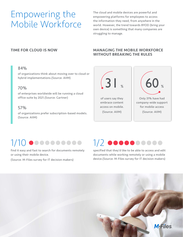# Empowering the Mobile Workforce

The cloud and mobile devices are powerful and empowering platforms for employees to access the information they need, from anywhere in the world. However, the trend towards BYOD (bring your own device) is something that many companies are struggling to manage.

#### 84%

of organizations think about moving over to cloud or hybrid implementations.(Source: AIIM)

### 70%

of enterprises worldwide will be running a cloud office suite by 2021.(Source: Gartner)

### 57%

of organizations prefer subscription-based models. (Source: AIIM)

#### TIME FOR CLOUD IS NOW MANAGING THE MOBILE WORKFORCE WITHOUT BREAKING THE RULES



# $1/10$  ecosacese  $1/2$  ecosacese

find it easy and fast to search for documents remotely or using their mobile device.

(Source: M-Files survey for IT decision makers)

specified that they'd like to be able to access and edit documents while working remotely or using a mobile device.(Source: M-Files survey for IT decision makers)

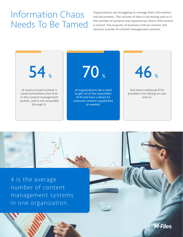# Information Chaos Needs To Be Tamed

Organizations are struggling to manage their information and documents. The volume of data is increasing and so is the number of systems and repositories where information is stored. The majority of business critical content still remains outside of content management systems.

**M-Files** 





4 is the average number of content management systems in one organization.